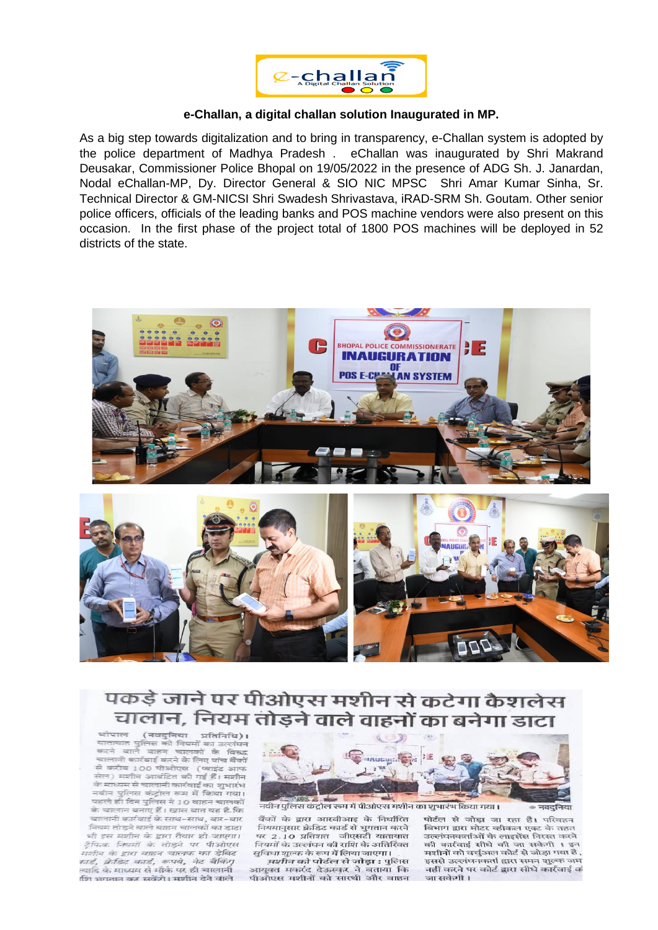

#### **e-Challan, a digital challan solution Inaugurated in MP.**

As a big step towards digitalization and to bring in transparency, e-Challan system is adopted by the police department of Madhya Pradesh . eChallan was inaugurated by Shri Makrand Deusakar, Commissioner Police Bhopal on 19/05/2022 in the presence of ADG Sh. J. Janardan, Nodal eChallan-MP, Dy. Director General & SIO NIC MPSC Shri Amar Kumar Sinha, Sr. Technical Director & GM-NICSI Shri Swadesh Shrivastava, iRAD-SRM Sh. Goutam. Other senior police officers, officials of the leading banks and POS machine vendors were also present on this occasion. In the first phase of the project total of 1800 POS machines will be deployed in 52 districts of the state.



# पकड़े जाने पर पीओएस मशीन से कटेगा कैशलेस चालान, नियम तोडने वाले वाहनों का बनेगा डाटा



.<br>नवीन पुलिस कंट्रोल रूम में पीओएस मशीन का शुभारंभ किया गया।

पोर्टल से जोड़ा जा रहा है। परिवहन विभाग द्वारा मोटर व्हीकल एक्ट के तहत उल्लंघनकर्ताओं के लाइसेंस निरस्त करने की कार्रवाई सीधे की जा सकेगी । इन मशीनों को वर्चुअल कोर्ट से जोड़ा गया है , इससे उल्लंघनकर्ता द्वारा समन शुल्क जम नहीं करने पर कोर्ट द्वारा सीधे कार्रवाई कं जा सकेगी।

नवटनिया

बैंकों के द्वारा आरबीआइ के निर्धारित नियमानुसार क्रेडिट कार्ड से भुगतान करने पर 2.10 प्रतिशत - जीएसटी यातायात<br>*नियमों* के उल्लंघन की राशि के अतिरिक्त सुविधा शुल्क के रूप में लिया जाएगा।

*मशीन* को पोर्टल से जोड़ा : पुलिस आयुक्त मकरंद देऊस्कर ने बताया कि<br>पीओएस मशीनों को सारथी और वाहन

(नवदनिया प्रतिनिधि)। पुलिस को नियमों का उल्लंघन ਟਸਰਾਹਾਰ वाले वाहन चालकों के विरुद्ध कटने चालानी कार्रवाई करने के लिए पांच बैंकों से करीब 100 पीओएस (प्लाइंट आफ सेल) मशीन आवंटित की गई हैं। मशीन के माध्यम से चालानी कार्रवाई का शुभारंभ नवीन पुलिस कंटोल रूम में किया गया। पहले ही दिन पुलिस ने 10 वाहन चालकों के चालान बनाए हैं। खास बात यह है.कि चालानी कार्रवाई के साथ-साथ, बार-बार नियम तोड़ने वाले वाहन चालकों का डाटा भी इस मशीन के द्वारा तैयार हो जाएगा। टैफिक नियमों के तोड़ने पर पीओएस मशीन के द्वारा वाहन चालक का डेबिट nie. प्रेडिट कार्ड, रूपये, नेट बैकिंग् त्यादि के माध्यम से मौके पर ही चालानी ष्टिा भगतान कर सकेंगे। मशीन देने वाले